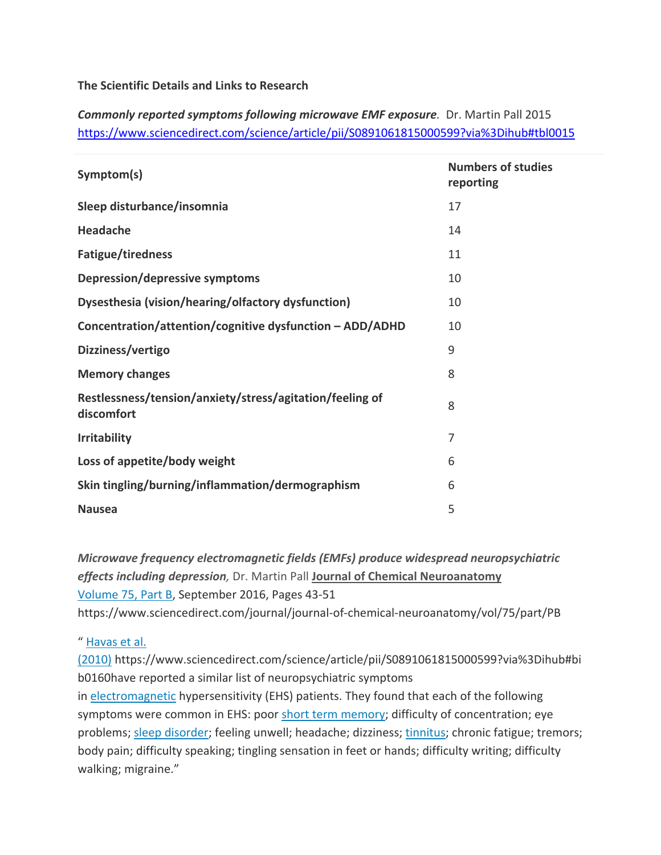**The Scientific Details and Links to Research** 

*Commonly reported symptoms following microwave EMF exposure.* Dr. Martin Pall 2015 https://www.sciencedirect.com/science/article/pii/S0891061815000599?via%3Dihub#tbl0015

| Symptom(s)                                                             | <b>Numbers of studies</b><br>reporting |
|------------------------------------------------------------------------|----------------------------------------|
| Sleep disturbance/insomnia                                             | 17                                     |
| <b>Headache</b>                                                        | 14                                     |
| Fatigue/tiredness                                                      | 11                                     |
| <b>Depression/depressive symptoms</b>                                  | 10                                     |
| Dysesthesia (vision/hearing/olfactory dysfunction)                     | 10                                     |
| Concentration/attention/cognitive dysfunction - ADD/ADHD               | 10                                     |
| Dizziness/vertigo                                                      | 9                                      |
| <b>Memory changes</b>                                                  | 8                                      |
| Restlessness/tension/anxiety/stress/agitation/feeling of<br>discomfort | 8                                      |
| <b>Irritability</b>                                                    | 7                                      |
| Loss of appetite/body weight                                           | 6                                      |
| Skin tingling/burning/inflammation/dermographism                       | 6                                      |
| <b>Nausea</b>                                                          | 5                                      |

*Microwave frequency electromagnetic fields (EMFs) produce widespread neuropsychiatric effects including depression,* Dr. Martin Pall **Journal of Chemical Neuroanatomy**  Volume 75, Part B, September 2016, Pages 43‐51

https://www.sciencedirect.com/journal/journal‐of‐chemical‐neuroanatomy/vol/75/part/PB

" Havas et al.

(2010) https://www.sciencedirect.com/science/article/pii/S0891061815000599?via%3Dihub#bi b0160have reported a similar list of neuropsychiatric symptoms

in electromagnetic hypersensitivity (EHS) patients. They found that each of the following symptoms were common in EHS: poor short term memory; difficulty of concentration; eye problems; sleep disorder; feeling unwell; headache; dizziness; tinnitus; chronic fatigue; tremors; body pain; difficulty speaking; tingling sensation in feet or hands; difficulty writing; difficulty walking; migraine."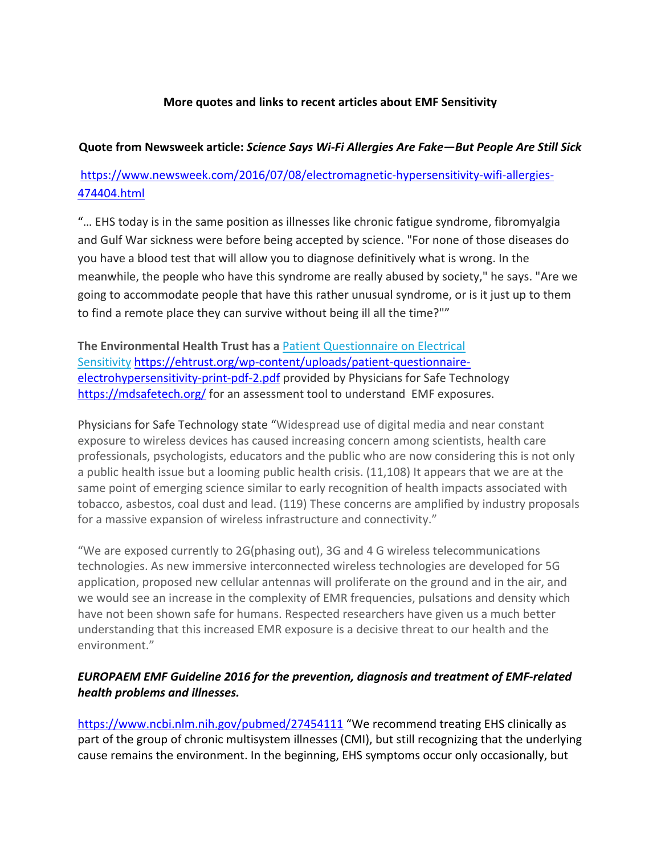## **More quotes and links to recent articles about EMF Sensitivity**

#### **Quote from Newsweek article:** *Science Says Wi‐Fi Allergies Are Fake—But People Are Still Sick*

# https://www.newsweek.com/2016/07/08/electromagnetic-hypersensitivity-wifi-allergies-474404.html

"… EHS today is in the same position as illnesses like chronic fatigue syndrome, fibromyalgia and Gulf War sickness were before being accepted by science. "For none of those diseases do you have a blood test that will allow you to diagnose definitively what is wrong. In the meanwhile, the people who have this syndrome are really abused by society," he says. "Are we going to accommodate people that have this rather unusual syndrome, or is it just up to them to find a remote place they can survive without being ill all the time?""

**The Environmental Health Trust has a** Patient Questionnaire on Electrical Sensitivity https://ehtrust.org/wp‐content/uploads/patient‐questionnaire‐ electrohypersensitivity-print-pdf-2.pdf provided by Physicians for Safe Technology https://mdsafetech.org/ for an assessment tool to understand EMF exposures.

Physicians for Safe Technology state "Widespread use of digital media and near constant exposure to wireless devices has caused increasing concern among scientists, health care professionals, psychologists, educators and the public who are now considering this is not only a public health issue but a looming public health crisis. (11,108) It appears that we are at the same point of emerging science similar to early recognition of health impacts associated with tobacco, asbestos, coal dust and lead. (119) These concerns are amplified by industry proposals for a massive expansion of wireless infrastructure and connectivity."

"We are exposed currently to 2G(phasing out), 3G and 4 G wireless telecommunications technologies. As new immersive interconnected wireless technologies are developed for 5G application, proposed new cellular antennas will proliferate on the ground and in the air, and we would see an increase in the complexity of EMR frequencies, pulsations and density which have not been shown safe for humans. Respected researchers have given us a much better understanding that this increased EMR exposure is a decisive threat to our health and the environment."

## *EUROPAEM EMF Guideline 2016 for the prevention, diagnosis and treatment of EMF‐related health problems and illnesses.*

https://www.ncbi.nlm.nih.gov/pubmed/27454111 "We recommend treating EHS clinically as part of the group of chronic multisystem illnesses (CMI), but still recognizing that the underlying cause remains the environment. In the beginning, EHS symptoms occur only occasionally, but